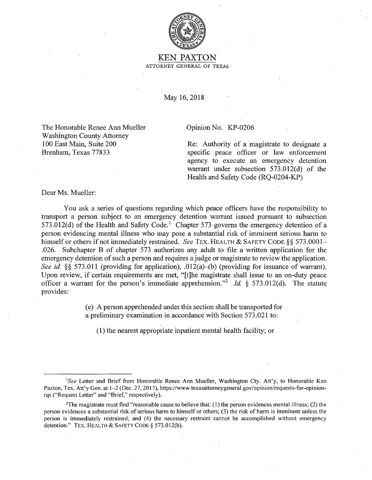

KEN PAXTON ATTORNEY GENERAL OF TEXAS

May 16, 2018

The Honorable Renee Ann Mueller Washington County Attorney 100 East Main, Suite 200 Brenham, Texas 77833

## Opinion No. KP-0206

Re: Authority of a magistrate to designate a specific peace officer or law enforcement agency to execute an emergency detention warrant under subsection 573.012(d) of the Health and Safety Code (RQ-0204-KP)

Dear Ms. Mueller:

You ask a series of questions regarding which peace officers have the responsibility to transport a person subject to an emergency detention warrant issued pursuant to subsection 573.012(d) of the Health and Safety Code.<sup>1</sup> Chapter 573 governs the emergency detention of a person evidencing mental illness who may pose a substantial risk of imminent serious harm to himself or others if not immediately restrained. *See TEX*. HEALTH & SAFETY CODE §§ 573.0001-.026. Subchapter B of chapter 573 authorizes any adult to file a written application for the emergency detention of such a person and requires a judge or magistrate to review the application. *See id.* §§ 573.011 (providing for application), .012(a)-(b) (providing for issuance of warrant). Upon review, if certain requirements are met, "[t]he magistrate shall issue to an on-duty peace officer a warrant for the person's immediate apprehension."<sup>2</sup> *Id.*  $\frac{1}{2}$  573.012(d). The statute provides:

> (e) A person apprehended under this section shall be transported for a preliminary examination in accordance with Section 573.021 to:

(1) the nearest appropriate inpatient mental health facility; or

<sup>&</sup>lt;sup>1</sup>See Letter and Brief from Honorable Renee Ann Mueller, Washington Cty. Att'y, to Honorable Ken Paxton, Tex. Att'y Gen. at 1-2 (Dec. 27, 2017), https://www.texasattorneygeneral.gov/opinion/requests-for-opinionrqs ("Request Letter" and "Brief," respectively).

<sup>&</sup>lt;sup>2</sup>The magistrate must find "reasonable cause to believe that: (1) the person evidences mental illness; (2) the person evidences a substantial risk of serious harm to himself or others; (3) the risk of harm is imminent unless the person is immediately restrained; and (4) the necessary restraint cannot be accomplished without emergency detention." TEX. HEALTH & SAFETY CODE§ 573.012(b).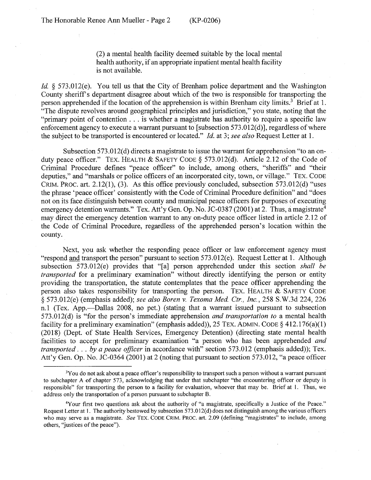(2) a mental health facility deemed suitable by the local mental health authority, if an appropriate inpatient mental health facility is not available.

*Id.* § 573.012(e). You tell us that the City of Brenham police department and the Washington County sheriffs department disagree about which of the two is responsible for transporting the person apprehended if the location of the apprehension is within Brenham city limits.<sup>3</sup> Brief at 1. "The dispute revolves around geographical principles and jurisdiction," you state, noting that the "primary point of contention ... is whether a magistrate has authority to require a specific law enforcement agency to execute a warrant pursuant to [subsection  $573.012(d)$ ], regardless of where the subject to be transported is encountered or located." *Id.* at 3; *see also* Request Letter at I.

Subsection 573.012(d) directs a magistrate to issue the warrant for apprehension "to an onduty peace officer." TEX. HEALTH & SAFETY CODE§ 573.012(d). Article 2.12 of the Code of Criminal Procedure defines "peace officer" to include, among others, "sheriffs" and "their deputies," and "marshals or police officers of an incorporated city, town, or village." TEX. CODE CRIM. PROC. art. 2.12(1), (3). As this office previously concluded, subsection 573.012(d) "uses the phrase 'peace officer' consistently with the Code of Criminal Procedure definition" and "does not on its face distinguish between county and municipal peace officers for purposes of executing emergency detention warrants." Tex. Att'y Gen. Op. No. JC-0387 (2001) at 2. Thus, a magistrate<sup>4</sup> may direct the emergency detention warrant to any on-duty peace officer listed in article 2.12 of the Code of Criminal Procedure, regardless of the apprehended person's location within the county.

Next, you ask whether the responding peace officer or law enforcement agency must "respond and transport the person" pursuant to section 573.012(e). Request Letter at I. Although subsection 573.012(e) provides that "[a] person apprehended under this section *shall be transported* for a preliminary examination" without directly identifying the person or entity providing the transportation, the statute contemplates that the peace officer apprehending the person also takes responsibility for transporting the person. TEX. HEALTH  $&$  SAFETY CODE § 573.012(e) (emphasis added); *see also Boren v. Texoma Med. Ctr., Inc.,* 258 S.W.3d 224, 226 n.1 (Tex. App.—Dallas 2008, no pet.) (stating that a warrant issued pursuant to subsection 573.012(d) is "for the person's immediate apprehension *and transportation to* a mental health facility for a preliminary examination" (emphasis added)), 25 TEX. ADMIN. CODE  $\S$  412.176(a)(1) (2018) (Dept. of State Health Services, Emergency Detention) ( directing state mental health facilities to accept for preliminary examination "a person who has been apprehended *and transported .* .. *by a peace officer* in accordance with" section 573.012 (emphasis added)); Tex. Att'y Gen. Op. No. JC-0364 (2001) at 2 (noting that pursuant to section 573.012, "a peace officer

<sup>&</sup>lt;sup>3</sup>You do not ask about a peace officer's responsibility to transport such a person without a warrant pursuant to subchapter A of chapter 573, acknowledging that under that subchapter "the encountering officer or deputy is responsible" for transporting the person to a facility for evaluation, whoever that may be. Brief at I. Thus, we address only the transportation of a person pursuant to subchapter B.

<sup>4</sup>Your first two questions ask about the authority of "a magistrate, specifically a Justice of the Peace." Request Letter at 1. The authority bestowed by subsection 573.012(d) does not distinguish among the various officers who may serve as a magistrate. *See* TEX. CODE CRIM. PROC. art. 2.09 (defining "magistrates" to include, among others, ''justices of the peace").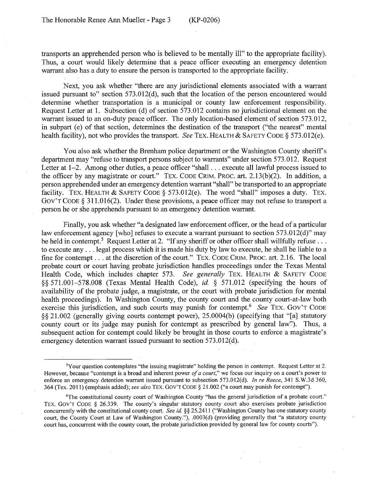transports an apprehended person who is believed to be mentally ill" to the appropriate facility). Thus, a court would likely determine that a peace officer executing an emergency detention warrant also has a duty to ensure the person is transported to the appropriate facility.

Next, you ask whether "there are any jurisdictional elements associated with a warrant issued pursuant to" section 573.012(d), such that the location of the person encountered would determine whether transportation is a municipal or county law enforcement responsibility. Request Letter at 1. Subsection (d) of section 573.012 contains no jurisdictional element on the warrant issued to an on-duty peace officer. The only location-based element of section 573.012, in subpart (e) of that section, determines the destination of the transport ("the nearest" mental health facility), not who provides the transport. *See* TEX. HEALTH & SAFETY CODE§ 573.012(e).

You also ask whether the Brenham police department or the Washington County sheriff's department may "refuse to transport persons subject to warrants" under section 573.012. Request Letter at 1–2. Among other duties, a peace officer "shall ... execute all lawful process issued to the officer by any magistrate or court." TEX. CODE CRIM. PROC. art. 2.13(b)(2). In addition, a person apprehended under an emergency detention warrant "shall" be transported to an appropriate facility. TEX. HEALTH & SAFETY CODE § 573.012(e). The word "shall" imposes a duty. TEX. Gov'T CODE § 311.016(2). Under these provisions, a peace officer may not refuse to transport a person he or she apprehends pursuant to an emergency detention warrant.

Finally, you ask whether "a designated law enforcement officer, or the head of a particular law enforcement agency [who] refuses to execute a warrant pursuant to section 573.012(d)" may be held in contempt.<sup>5</sup> Request Letter at 2. "If any sheriff or other officer shall willfully refuse ... to execute any ... legal process which it is made his duty by law to execute, he shall be liable to a fine for contempt . . . at the discretion of the court." TEX. CODE CRIM. PROC. art. 2.16. The local probate court or court having probate jurisdiction handles proceedings under the Texas Mental Health Code, which includes chapter 573. *See generally* TEX. HEALTH & SAFETY CODE §§ 571.001-578.008 (Texas Mental Health Code), *id.* § 571.012 (specifying the hours of availability of the probate judge, a magistrate, or the court with probate jurisdiction for mental health proceedings). In Washington County, the county court and the county court-at-law both exercise this jurisdiction, and such courts may punish for contempt.<sup>6</sup> See TEX. GOV'T CODE §§ 21.002 (generally giving courts contempt power), 25.0004(b) (specifying that "[a] statutory county court or its judge may punish for contempt as prescribed by general law"). Thus, a subsequent action for contempt could likely be brought in those courts to enforce a magistrate's emergency detention warrant issued pursuant to section 573.012(d).

<sup>5</sup>Your question contemplates "the issuing magistrate" holding the person in contempt. Request Letter at 2. However, because "contempt is a broad and inherent power *of a court,"* we focus our inquiry on a court's power to enforce an emergency detention warrant issued pursuant to subsection 573.012(d). *In re Reece,* 341 S.W.3d 360, 364 (Tex. 2011) ( emphasis added); *see also* TEX. Gov'T CODE § 21.002 ("a court may punish for contempt").

<sup>6</sup>The constitutional county court of Washington County "has the general jurisdiction of a probate court." TEX. Gov'T CODE § 26.339. The county's singular statutory county court also exercises probate jurisdiction concurrently with the constitutional county court. *See id.* §§ 25.2411 ("Washington County has one statutory county court, the County Court at Law of Washington County."), .0003(d) (providing generally that "a statutory county court has, concurrent with the county court, the probate jurisdiction provided by general law for county courts").